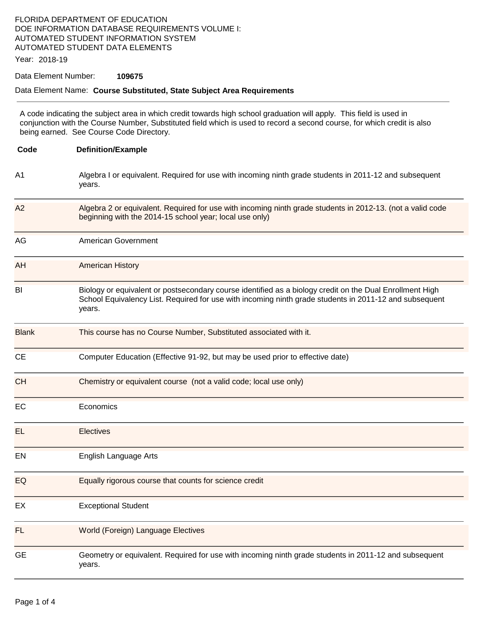## FLORIDA DEPARTMENT OF EDUCATION DOE INFORMATION DATABASE REQUIREMENTS VOLUME I: AUTOMATED STUDENT INFORMATION SYSTEM AUTOMATED STUDENT DATA ELEMENTS

Year: 2018-19

### Data Element Number: **109675**

#### Data Element Name: **Course Substituted, State Subject Area Requirements**

A code indicating the subject area in which credit towards high school graduation will apply. This field is used in conjunction with the Course Number, Substituted field which is used to record a second course, for which credit is also being earned. See Course Code Directory.

| Code           | <b>Definition/Example</b>                                                                                                                                                                                                    |
|----------------|------------------------------------------------------------------------------------------------------------------------------------------------------------------------------------------------------------------------------|
| A <sub>1</sub> | Algebra I or equivalent. Required for use with incoming ninth grade students in 2011-12 and subsequent<br>years.                                                                                                             |
| A2             | Algebra 2 or equivalent. Required for use with incoming ninth grade students in 2012-13. (not a valid code<br>beginning with the 2014-15 school year; local use only)                                                        |
| AG             | American Government                                                                                                                                                                                                          |
| AH             | <b>American History</b>                                                                                                                                                                                                      |
| BI             | Biology or equivalent or postsecondary course identified as a biology credit on the Dual Enrollment High<br>School Equivalency List. Required for use with incoming ninth grade students in 2011-12 and subsequent<br>years. |
| <b>Blank</b>   | This course has no Course Number, Substituted associated with it.                                                                                                                                                            |
| <b>CE</b>      | Computer Education (Effective 91-92, but may be used prior to effective date)                                                                                                                                                |
| <b>CH</b>      | Chemistry or equivalent course (not a valid code; local use only)                                                                                                                                                            |
| EC             | Economics                                                                                                                                                                                                                    |
| EL             | <b>Electives</b>                                                                                                                                                                                                             |
| EN             | English Language Arts                                                                                                                                                                                                        |
| EQ             | Equally rigorous course that counts for science credit                                                                                                                                                                       |
| EX             | <b>Exceptional Student</b>                                                                                                                                                                                                   |
| FL             | <b>World (Foreign) Language Electives</b>                                                                                                                                                                                    |
| <b>GE</b>      | Geometry or equivalent. Required for use with incoming ninth grade students in 2011-12 and subsequent<br>years.                                                                                                              |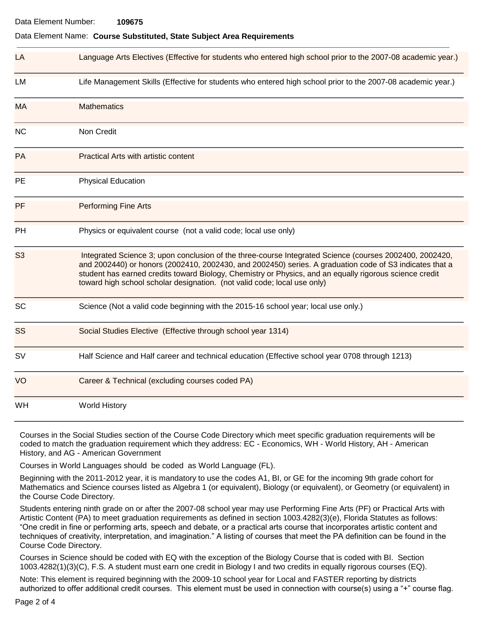#### Data Element Name: **Course Substituted, State Subject Area Requirements**

| LA             | Language Arts Electives (Effective for students who entered high school prior to the 2007-08 academic year.)                                                                                                                                                                                                                                                                                              |  |
|----------------|-----------------------------------------------------------------------------------------------------------------------------------------------------------------------------------------------------------------------------------------------------------------------------------------------------------------------------------------------------------------------------------------------------------|--|
| LM             | Life Management Skills (Effective for students who entered high school prior to the 2007-08 academic year.)                                                                                                                                                                                                                                                                                               |  |
| <b>MA</b>      | <b>Mathematics</b>                                                                                                                                                                                                                                                                                                                                                                                        |  |
| ΝC             | Non Credit                                                                                                                                                                                                                                                                                                                                                                                                |  |
| <b>PA</b>      | <b>Practical Arts with artistic content</b>                                                                                                                                                                                                                                                                                                                                                               |  |
| PE             | <b>Physical Education</b>                                                                                                                                                                                                                                                                                                                                                                                 |  |
| PF.            | <b>Performing Fine Arts</b>                                                                                                                                                                                                                                                                                                                                                                               |  |
| PH             | Physics or equivalent course (not a valid code; local use only)                                                                                                                                                                                                                                                                                                                                           |  |
| S <sub>3</sub> | Integrated Science 3; upon conclusion of the three-course Integrated Science (courses 2002400, 2002420,<br>and 2002440) or honors (2002410, 2002430, and 2002450) series. A graduation code of S3 indicates that a<br>student has earned credits toward Biology, Chemistry or Physics, and an equally rigorous science credit<br>toward high school scholar designation. (not valid code; local use only) |  |
| <b>SC</b>      | Science (Not a valid code beginning with the 2015-16 school year; local use only.)                                                                                                                                                                                                                                                                                                                        |  |
| SS             | Social Studies Elective (Effective through school year 1314)                                                                                                                                                                                                                                                                                                                                              |  |
| SV             | Half Science and Half career and technical education (Effective school year 0708 through 1213)                                                                                                                                                                                                                                                                                                            |  |
| VO             | Career & Technical (excluding courses coded PA)                                                                                                                                                                                                                                                                                                                                                           |  |
| WH             | <b>World History</b>                                                                                                                                                                                                                                                                                                                                                                                      |  |

Courses in the Social Studies section of the Course Code Directory which meet specific graduation requirements will be coded to match the graduation requirement which they address: EC - Economics, WH - World History, AH - American History, and AG - American Government

Courses in World Languages should be coded as World Language (FL).

Beginning with the 2011-2012 year, it is mandatory to use the codes A1, BI, or GE for the incoming 9th grade cohort for Mathematics and Science courses listed as Algebra 1 (or equivalent), Biology (or equivalent), or Geometry (or equivalent) in the Course Code Directory.

Students entering ninth grade on or after the 2007-08 school year may use Performing Fine Arts (PF) or Practical Arts with Artistic Content (PA) to meet graduation requirements as defined in section 1003.4282(3)(e), Florida Statutes as follows: "One credit in fine or performing arts, speech and debate, or a practical arts course that incorporates artistic content and techniques of creativity, interpretation, and imagination." A listing of courses that meet the PA definition can be found in the Course Code Directory.

Courses in Science should be coded with EQ with the exception of the Biology Course that is coded with BI. Section 1003.4282(1)(3)(C), F.S. A student must earn one credit in Biology I and two credits in equally rigorous courses (EQ).

Note: This element is required beginning with the 2009-10 school year for Local and FASTER reporting by districts authorized to offer additional credit courses. This element must be used in connection with course(s) using a "+" course flag.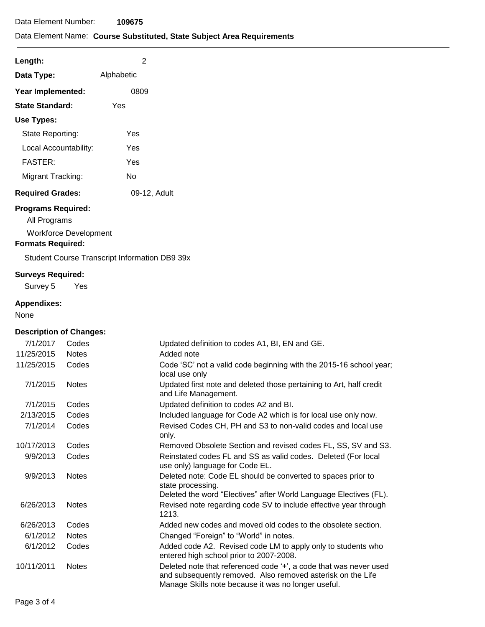# Data Element Name: **Course Substituted, State Subject Area Requirements**

| Length:                 | 2            |
|-------------------------|--------------|
| Data Type:              | Alphabetic   |
| Year Implemented:       | 0809         |
| <b>State Standard:</b>  | Yes          |
| Use Types:              |              |
| State Reporting:        | Yes          |
| Local Accountability:   | Yes          |
| <b>FASTER:</b>          | Yes          |
| Migrant Tracking:       | N٥           |
| <b>Required Grades:</b> | 09-12, Adult |

# **Programs Required:**

All Programs

Workforce Development

### **Formats Required:**

Student Course Transcript Information DB9 39x

### **Surveys Required:**

Survey 5 Yes

# **Appendixes:**

None

# **Description of Changes:**

| 7/1/2017   | Codes        | Updated definition to codes A1, BI, EN and GE.                                                                                                                                          |
|------------|--------------|-----------------------------------------------------------------------------------------------------------------------------------------------------------------------------------------|
| 11/25/2015 | <b>Notes</b> | Added note                                                                                                                                                                              |
| 11/25/2015 | Codes        | Code 'SC' not a valid code beginning with the 2015-16 school year;<br>local use only                                                                                                    |
| 7/1/2015   | <b>Notes</b> | Updated first note and deleted those pertaining to Art, half credit<br>and Life Management.                                                                                             |
| 7/1/2015   | Codes        | Updated definition to codes A2 and BI.                                                                                                                                                  |
| 2/13/2015  | Codes        | Included language for Code A2 which is for local use only now.                                                                                                                          |
| 7/1/2014   | Codes        | Revised Codes CH, PH and S3 to non-valid codes and local use<br>only.                                                                                                                   |
| 10/17/2013 | Codes        | Removed Obsolete Section and revised codes FL, SS, SV and S3.                                                                                                                           |
| 9/9/2013   | Codes        | Reinstated codes FL and SS as valid codes. Deleted (For local<br>use only) language for Code EL.                                                                                        |
| 9/9/2013   | <b>Notes</b> | Deleted note: Code EL should be converted to spaces prior to<br>state processing.<br>Deleted the word "Electives" after World Language Electives (FL).                                  |
| 6/26/2013  | <b>Notes</b> | Revised note regarding code SV to include effective year through<br>1213.                                                                                                               |
| 6/26/2013  | Codes        | Added new codes and moved old codes to the obsolete section.                                                                                                                            |
| 6/1/2012   | <b>Notes</b> | Changed "Foreign" to "World" in notes.                                                                                                                                                  |
| 6/1/2012   | Codes        | Added code A2. Revised code LM to apply only to students who<br>entered high school prior to 2007-2008.                                                                                 |
| 10/11/2011 | <b>Notes</b> | Deleted note that referenced code '+', a code that was never used<br>and subsequently removed. Also removed asterisk on the Life<br>Manage Skills note because it was no longer useful. |